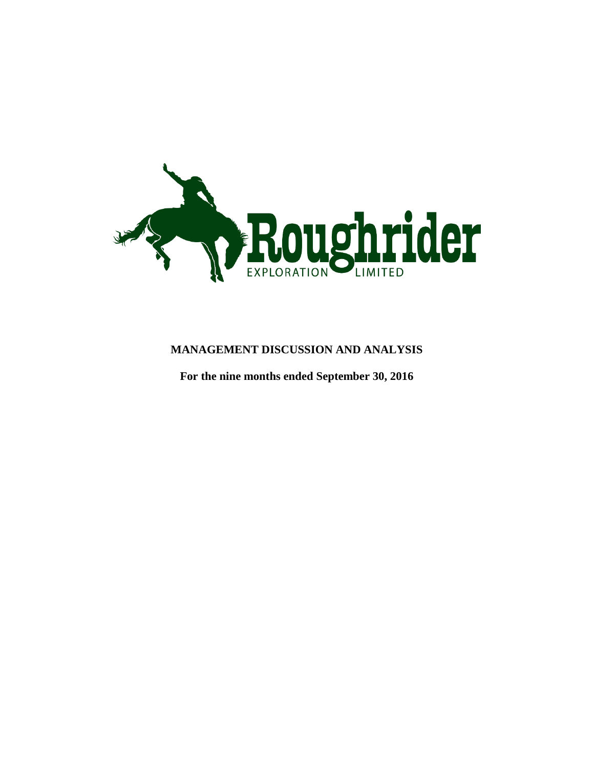

## **MANAGEMENT DISCUSSION AND ANALYSIS**

**For the nine months ended September 30, 2016**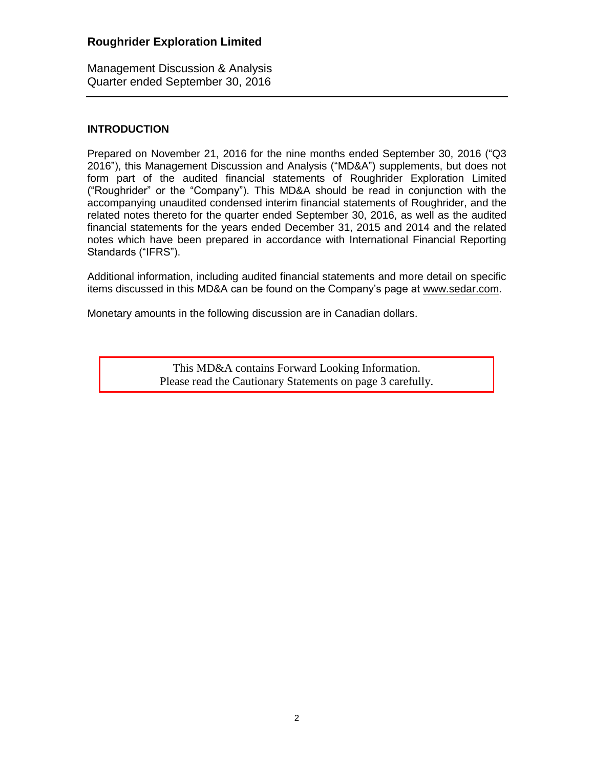Management Discussion & Analysis Quarter ended September 30, 2016

### **INTRODUCTION**

Prepared on November 21, 2016 for the nine months ended September 30, 2016 ("Q3 2016"), this Management Discussion and Analysis ("MD&A") supplements, but does not form part of the audited financial statements of Roughrider Exploration Limited ("Roughrider" or the "Company"). This MD&A should be read in conjunction with the accompanying unaudited condensed interim financial statements of Roughrider, and the related notes thereto for the quarter ended September 30, 2016, as well as the audited financial statements for the years ended December 31, 2015 and 2014 and the related notes which have been prepared in accordance with International Financial Reporting Standards ("IFRS").

Additional information, including audited financial statements and more detail on specific items discussed in this MD&A can be found on the Company's page at [www.sedar.com.](http://www.sedar.com/)

Monetary amounts in the following discussion are in Canadian dollars.

This MD&A contains Forward Looking Information. Please read the Cautionary Statements on page 3 carefully.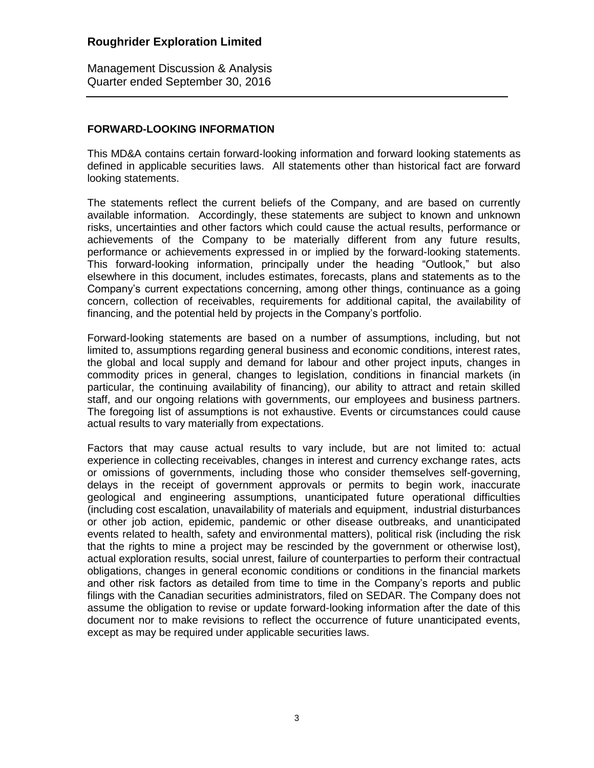Management Discussion & Analysis Quarter ended September 30, 2016

### **FORWARD-LOOKING INFORMATION**

This MD&A contains certain forward-looking information and forward looking statements as defined in applicable securities laws. All statements other than historical fact are forward looking statements.

The statements reflect the current beliefs of the Company, and are based on currently available information. Accordingly, these statements are subject to known and unknown risks, uncertainties and other factors which could cause the actual results, performance or achievements of the Company to be materially different from any future results, performance or achievements expressed in or implied by the forward-looking statements. This forward-looking information, principally under the heading "Outlook," but also elsewhere in this document, includes estimates, forecasts, plans and statements as to the Company's current expectations concerning, among other things, continuance as a going concern, collection of receivables, requirements for additional capital, the availability of financing, and the potential held by projects in the Company's portfolio.

Forward-looking statements are based on a number of assumptions, including, but not limited to, assumptions regarding general business and economic conditions, interest rates, the global and local supply and demand for labour and other project inputs, changes in commodity prices in general, changes to legislation, conditions in financial markets (in particular, the continuing availability of financing), our ability to attract and retain skilled staff, and our ongoing relations with governments, our employees and business partners. The foregoing list of assumptions is not exhaustive. Events or circumstances could cause actual results to vary materially from expectations.

Factors that may cause actual results to vary include, but are not limited to: actual experience in collecting receivables, changes in interest and currency exchange rates, acts or omissions of governments, including those who consider themselves self-governing, delays in the receipt of government approvals or permits to begin work, inaccurate geological and engineering assumptions, unanticipated future operational difficulties (including cost escalation, unavailability of materials and equipment, industrial disturbances or other job action, epidemic, pandemic or other disease outbreaks, and unanticipated events related to health, safety and environmental matters), political risk (including the risk that the rights to mine a project may be rescinded by the government or otherwise lost), actual exploration results, social unrest, failure of counterparties to perform their contractual obligations, changes in general economic conditions or conditions in the financial markets and other risk factors as detailed from time to time in the Company's reports and public filings with the Canadian securities administrators, filed on SEDAR. The Company does not assume the obligation to revise or update forward-looking information after the date of this document nor to make revisions to reflect the occurrence of future unanticipated events, except as may be required under applicable securities laws.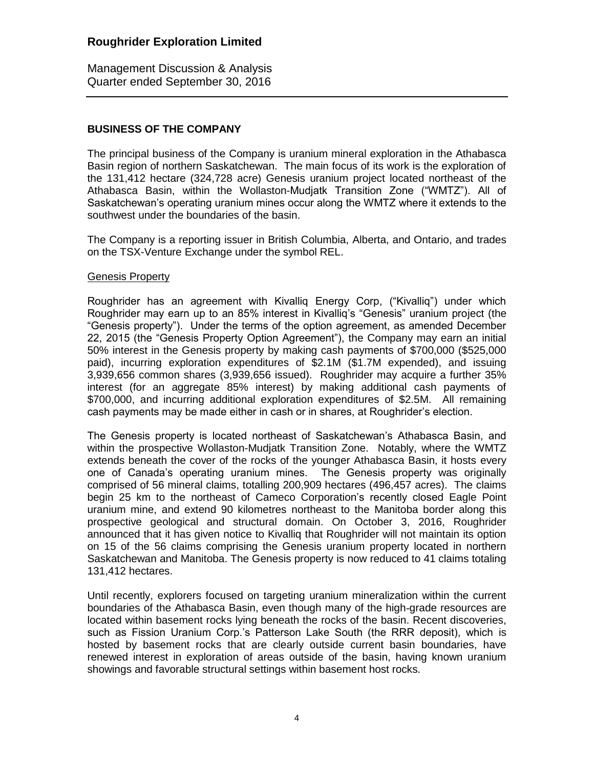Management Discussion & Analysis Quarter ended September 30, 2016

### **BUSINESS OF THE COMPANY**

The principal business of the Company is uranium mineral exploration in the Athabasca Basin region of northern Saskatchewan. The main focus of its work is the exploration of the 131,412 hectare (324,728 acre) Genesis uranium project located northeast of the Athabasca Basin, within the Wollaston-Mudjatk Transition Zone ("WMTZ"). All of Saskatchewan's operating uranium mines occur along the WMTZ where it extends to the southwest under the boundaries of the basin.

The Company is a reporting issuer in British Columbia, Alberta, and Ontario, and trades on the TSX-Venture Exchange under the symbol REL.

#### Genesis Property

Roughrider has an agreement with Kivalliq Energy Corp, ("Kivalliq") under which Roughrider may earn up to an 85% interest in Kivalliq's "Genesis" uranium project (the "Genesis property"). Under the terms of the option agreement, as amended December 22, 2015 (the "Genesis Property Option Agreement"), the Company may earn an initial 50% interest in the Genesis property by making cash payments of \$700,000 (\$525,000 paid), incurring exploration expenditures of \$2.1M (\$1.7M expended), and issuing 3,939,656 common shares (3,939,656 issued). Roughrider may acquire a further 35% interest (for an aggregate 85% interest) by making additional cash payments of \$700,000, and incurring additional exploration expenditures of \$2.5M. All remaining cash payments may be made either in cash or in shares, at Roughrider's election.

The Genesis property is located northeast of Saskatchewan's Athabasca Basin, and within the prospective Wollaston-Mudjatk Transition Zone. Notably, where the WMTZ extends beneath the cover of the rocks of the younger Athabasca Basin, it hosts every one of Canada's operating uranium mines. The Genesis property was originally comprised of 56 mineral claims, totalling 200,909 hectares (496,457 acres). The claims begin 25 km to the northeast of Cameco Corporation's recently closed Eagle Point uranium mine, and extend 90 kilometres northeast to the Manitoba border along this prospective geological and structural domain. On October 3, 2016, Roughrider announced that it has given notice to Kivalliq that Roughrider will not maintain its option on 15 of the 56 claims comprising the Genesis uranium property located in northern Saskatchewan and Manitoba. The Genesis property is now reduced to 41 claims totaling 131,412 hectares.

Until recently, explorers focused on targeting uranium mineralization within the current boundaries of the Athabasca Basin, even though many of the high-grade resources are located within basement rocks lying beneath the rocks of the basin. Recent discoveries, such as Fission Uranium Corp.'s Patterson Lake South (the RRR deposit), which is hosted by basement rocks that are clearly outside current basin boundaries, have renewed interest in exploration of areas outside of the basin, having known uranium showings and favorable structural settings within basement host rocks.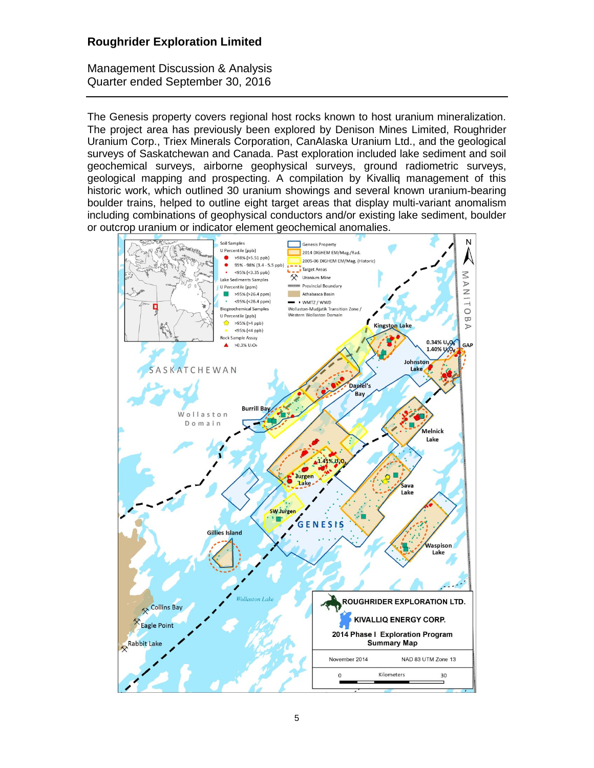Management Discussion & Analysis Quarter ended September 30, 2016

The Genesis property covers regional host rocks known to host uranium mineralization. The project area has previously been explored by Denison Mines Limited, Roughrider Uranium Corp., Triex Minerals Corporation, CanAlaska Uranium Ltd., and the geological surveys of Saskatchewan and Canada. Past exploration included lake sediment and soil geochemical surveys, airborne geophysical surveys, ground radiometric surveys, geological mapping and prospecting. A compilation by Kivalliq management of this historic work, which outlined 30 uranium showings and several known uranium-bearing boulder trains, helped to outline eight target areas that display multi-variant anomalism including combinations of geophysical conductors and/or existing lake sediment, boulder or outcrop uranium or indicator element geochemical anomalies.

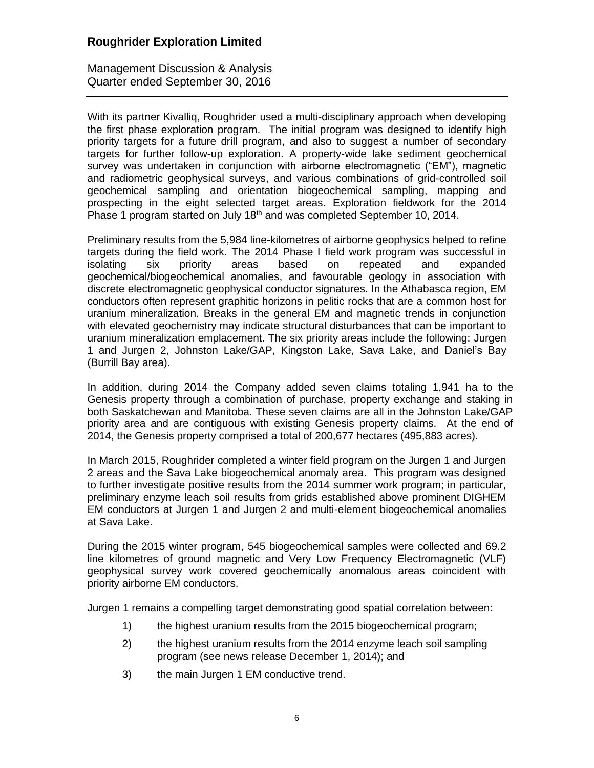Management Discussion & Analysis Quarter ended September 30, 2016

With its partner Kivalliq, Roughrider used a multi-disciplinary approach when developing the first phase exploration program. The initial program was designed to identify high priority targets for a future drill program, and also to suggest a number of secondary targets for further follow-up exploration. A property-wide lake sediment geochemical survey was undertaken in conjunction with airborne electromagnetic ("EM"), magnetic and radiometric geophysical surveys, and various combinations of grid-controlled soil geochemical sampling and orientation biogeochemical sampling, mapping and prospecting in the eight selected target areas. Exploration fieldwork for the 2014 Phase 1 program started on July  $18<sup>th</sup>$  and was completed September 10, 2014.

Preliminary results from the 5,984 line-kilometres of airborne geophysics helped to refine targets during the field work. The 2014 Phase I field work program was successful in isolating six priority areas based on repeated and expanded geochemical/biogeochemical anomalies, and favourable geology in association with discrete electromagnetic geophysical conductor signatures. In the Athabasca region, EM conductors often represent graphitic horizons in pelitic rocks that are a common host for uranium mineralization. Breaks in the general EM and magnetic trends in conjunction with elevated geochemistry may indicate structural disturbances that can be important to uranium mineralization emplacement. The six priority areas include the following: Jurgen 1 and Jurgen 2, Johnston Lake/GAP, Kingston Lake, Sava Lake, and Daniel's Bay (Burrill Bay area).

In addition, during 2014 the Company added seven claims totaling 1,941 ha to the Genesis property through a combination of purchase, property exchange and staking in both Saskatchewan and Manitoba. These seven claims are all in the Johnston Lake/GAP priority area and are contiguous with existing Genesis property claims. At the end of 2014, the Genesis property comprised a total of 200,677 hectares (495,883 acres).

In March 2015, Roughrider completed a winter field program on the Jurgen 1 and Jurgen 2 areas and the Sava Lake biogeochemical anomaly area. This program was designed to further investigate positive results from the 2014 summer work program; in particular, preliminary enzyme leach soil results from grids established above prominent DIGHEM EM conductors at Jurgen 1 and Jurgen 2 and multi-element biogeochemical anomalies at Sava Lake.

During the 2015 winter program, 545 biogeochemical samples were collected and 69.2 line kilometres of ground magnetic and Very Low Frequency Electromagnetic (VLF) geophysical survey work covered geochemically anomalous areas coincident with priority airborne EM conductors.

Jurgen 1 remains a compelling target demonstrating good spatial correlation between:

- 1) the highest uranium results from the 2015 biogeochemical program;
- 2) the highest uranium results from the 2014 enzyme leach soil sampling program (see news release December 1, 2014); and
- 3) the main Jurgen 1 EM conductive trend.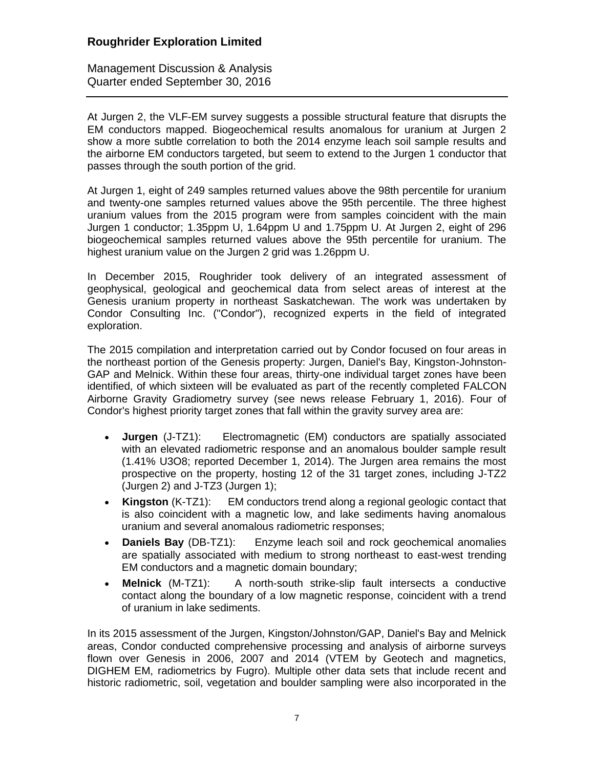Management Discussion & Analysis Quarter ended September 30, 2016

At Jurgen 2, the VLF-EM survey suggests a possible structural feature that disrupts the EM conductors mapped. Biogeochemical results anomalous for uranium at Jurgen 2 show a more subtle correlation to both the 2014 enzyme leach soil sample results and the airborne EM conductors targeted, but seem to extend to the Jurgen 1 conductor that passes through the south portion of the grid.

At Jurgen 1, eight of 249 samples returned values above the 98th percentile for uranium and twenty-one samples returned values above the 95th percentile. The three highest uranium values from the 2015 program were from samples coincident with the main Jurgen 1 conductor; 1.35ppm U, 1.64ppm U and 1.75ppm U. At Jurgen 2, eight of 296 biogeochemical samples returned values above the 95th percentile for uranium. The highest uranium value on the Jurgen 2 grid was 1.26ppm U.

In December 2015, Roughrider took delivery of an integrated assessment of geophysical, geological and geochemical data from select areas of interest at the Genesis uranium property in northeast Saskatchewan. The work was undertaken by Condor Consulting Inc. ("Condor"), recognized experts in the field of integrated exploration.

The 2015 compilation and interpretation carried out by Condor focused on four areas in the northeast portion of the Genesis property: Jurgen, Daniel's Bay, Kingston-Johnston-GAP and Melnick. Within these four areas, thirty-one individual target zones have been identified, of which sixteen will be evaluated as part of the recently completed FALCON Airborne Gravity Gradiometry survey (see news release February 1, 2016). Four of Condor's highest priority target zones that fall within the gravity survey area are:

- **Jurgen** (J-TZ1): Electromagnetic (EM) conductors are spatially associated with an elevated radiometric response and an anomalous boulder sample result (1.41% U3O8; reported December 1, 2014). The Jurgen area remains the most prospective on the property, hosting 12 of the 31 target zones, including J-TZ2 (Jurgen 2) and J-TZ3 (Jurgen 1);
- **Kingston** (K-TZ1): EM conductors trend along a regional geologic contact that is also coincident with a magnetic low, and lake sediments having anomalous uranium and several anomalous radiometric responses;
- **Daniels Bay** (DB-TZ1): Enzyme leach soil and rock geochemical anomalies are spatially associated with medium to strong northeast to east-west trending EM conductors and a magnetic domain boundary;
- **Melnick** (M-TZ1): A north-south strike-slip fault intersects a conductive contact along the boundary of a low magnetic response, coincident with a trend of uranium in lake sediments.

In its 2015 assessment of the Jurgen, Kingston/Johnston/GAP, Daniel's Bay and Melnick areas, Condor conducted comprehensive processing and analysis of airborne surveys flown over Genesis in 2006, 2007 and 2014 (VTEM by Geotech and magnetics, DIGHEM EM, radiometrics by Fugro). Multiple other data sets that include recent and historic radiometric, soil, vegetation and boulder sampling were also incorporated in the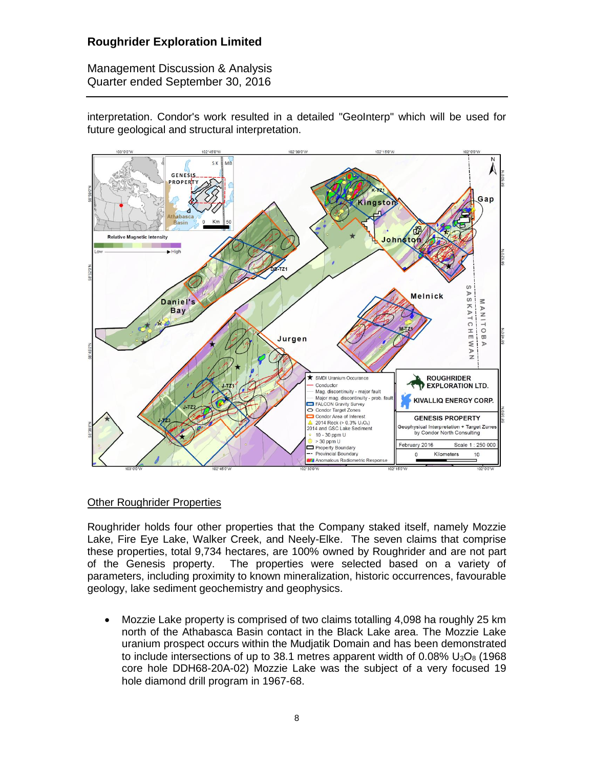Management Discussion & Analysis Quarter ended September 30, 2016

interpretation. Condor's work resulted in a detailed "GeoInterp" which will be used for future geological and structural interpretation.



### Other Roughrider Properties

Roughrider holds four other properties that the Company staked itself, namely Mozzie Lake, Fire Eye Lake, Walker Creek, and Neely-Elke. The seven claims that comprise these properties, total 9,734 hectares, are 100% owned by Roughrider and are not part of the Genesis property. The properties were selected based on a variety of parameters, including proximity to known mineralization, historic occurrences, favourable geology, lake sediment geochemistry and geophysics.

 Mozzie Lake property is comprised of two claims totalling 4,098 ha roughly 25 km north of the Athabasca Basin contact in the Black Lake area. The Mozzie Lake uranium prospect occurs within the Mudjatik Domain and has been demonstrated to include intersections of up to 38.1 metres apparent width of  $0.08\%$  U<sub>3</sub>O<sub>8</sub> (1968) core hole DDH68-20A-02) Mozzie Lake was the subject of a very focused 19 hole diamond drill program in 1967-68.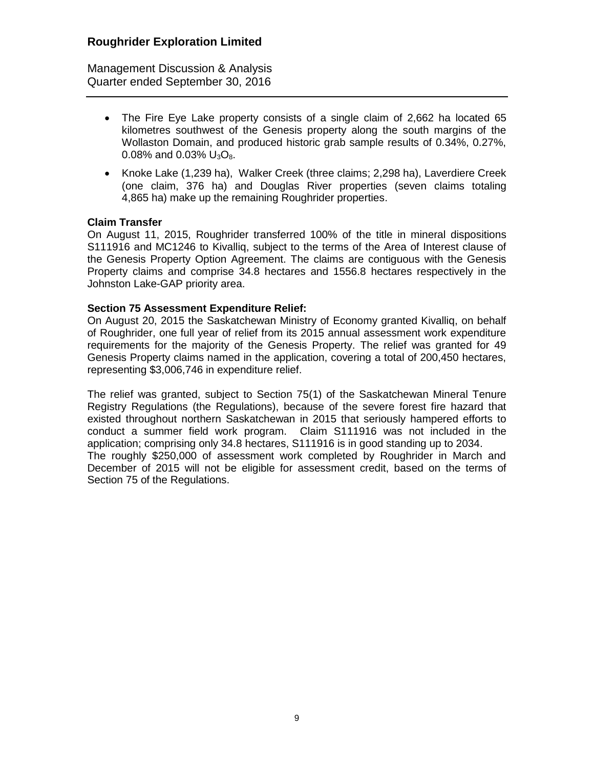Management Discussion & Analysis Quarter ended September 30, 2016

- The Fire Eye Lake property consists of a single claim of 2,662 ha located 65 kilometres southwest of the Genesis property along the south margins of the Wollaston Domain, and produced historic grab sample results of 0.34%, 0.27%, 0.08% and 0.03%  $U_3O_8$ .
- Knoke Lake (1,239 ha), Walker Creek (three claims; 2,298 ha), Laverdiere Creek (one claim, 376 ha) and Douglas River properties (seven claims totaling 4,865 ha) make up the remaining Roughrider properties.

### **Claim Transfer**

On August 11, 2015, Roughrider transferred 100% of the title in mineral dispositions S111916 and MC1246 to Kivalliq, subject to the terms of the Area of Interest clause of the Genesis Property Option Agreement. The claims are contiguous with the Genesis Property claims and comprise 34.8 hectares and 1556.8 hectares respectively in the Johnston Lake-GAP priority area.

### **Section 75 Assessment Expenditure Relief:**

On August 20, 2015 the Saskatchewan Ministry of Economy granted Kivalliq, on behalf of Roughrider, one full year of relief from its 2015 annual assessment work expenditure requirements for the majority of the Genesis Property. The relief was granted for 49 Genesis Property claims named in the application, covering a total of 200,450 hectares, representing \$3,006,746 in expenditure relief.

The relief was granted, subject to Section 75(1) of the Saskatchewan Mineral Tenure Registry Regulations (the Regulations), because of the severe forest fire hazard that existed throughout northern Saskatchewan in 2015 that seriously hampered efforts to conduct a summer field work program. Claim S111916 was not included in the application; comprising only 34.8 hectares, S111916 is in good standing up to 2034. The roughly \$250,000 of assessment work completed by Roughrider in March and December of 2015 will not be eligible for assessment credit, based on the terms of Section 75 of the Regulations.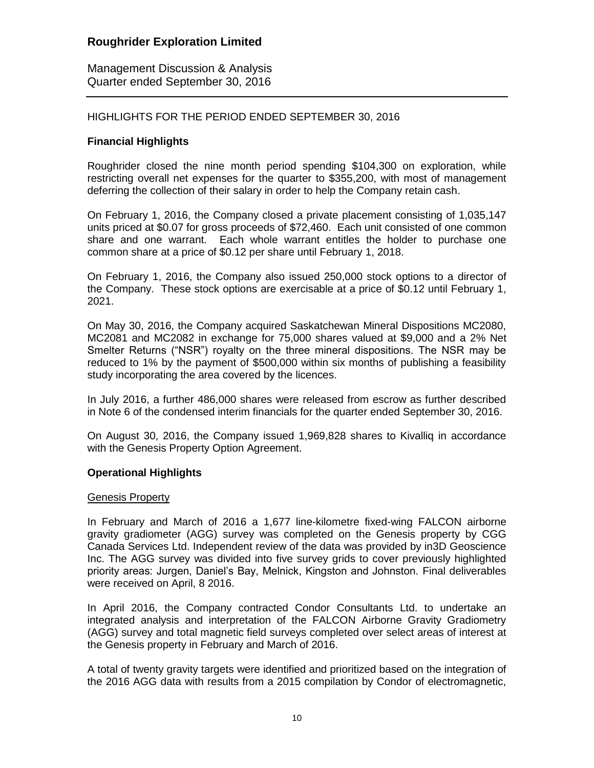Management Discussion & Analysis Quarter ended September 30, 2016

### HIGHLIGHTS FOR THE PERIOD ENDED SEPTEMBER 30, 2016

### **Financial Highlights**

Roughrider closed the nine month period spending \$104,300 on exploration, while restricting overall net expenses for the quarter to \$355,200, with most of management deferring the collection of their salary in order to help the Company retain cash.

On February 1, 2016, the Company closed a private placement consisting of 1,035,147 units priced at \$0.07 for gross proceeds of \$72,460. Each unit consisted of one common share and one warrant. Each whole warrant entitles the holder to purchase one common share at a price of \$0.12 per share until February 1, 2018.

On February 1, 2016, the Company also issued 250,000 stock options to a director of the Company. These stock options are exercisable at a price of \$0.12 until February 1, 2021.

On May 30, 2016, the Company acquired Saskatchewan Mineral Dispositions MC2080, MC2081 and MC2082 in exchange for 75,000 shares valued at \$9,000 and a 2% Net Smelter Returns ("NSR") royalty on the three mineral dispositions. The NSR may be reduced to 1% by the payment of \$500,000 within six months of publishing a feasibility study incorporating the area covered by the licences.

In July 2016, a further 486,000 shares were released from escrow as further described in Note 6 of the condensed interim financials for the quarter ended September 30, 2016.

On August 30, 2016, the Company issued 1,969,828 shares to Kivalliq in accordance with the Genesis Property Option Agreement.

### **Operational Highlights**

#### Genesis Property

In February and March of 2016 a 1,677 line-kilometre fixed-wing FALCON airborne gravity gradiometer (AGG) survey was completed on the Genesis property by CGG Canada Services Ltd. Independent review of the data was provided by in3D Geoscience Inc. The AGG survey was divided into five survey grids to cover previously highlighted priority areas: Jurgen, Daniel's Bay, Melnick, Kingston and Johnston. Final deliverables were received on April, 8 2016.

In April 2016, the Company contracted Condor Consultants Ltd. to undertake an integrated analysis and interpretation of the FALCON Airborne Gravity Gradiometry (AGG) survey and total magnetic field surveys completed over select areas of interest at the Genesis property in February and March of 2016.

A total of twenty gravity targets were identified and prioritized based on the integration of the 2016 AGG data with results from a 2015 compilation by Condor of electromagnetic,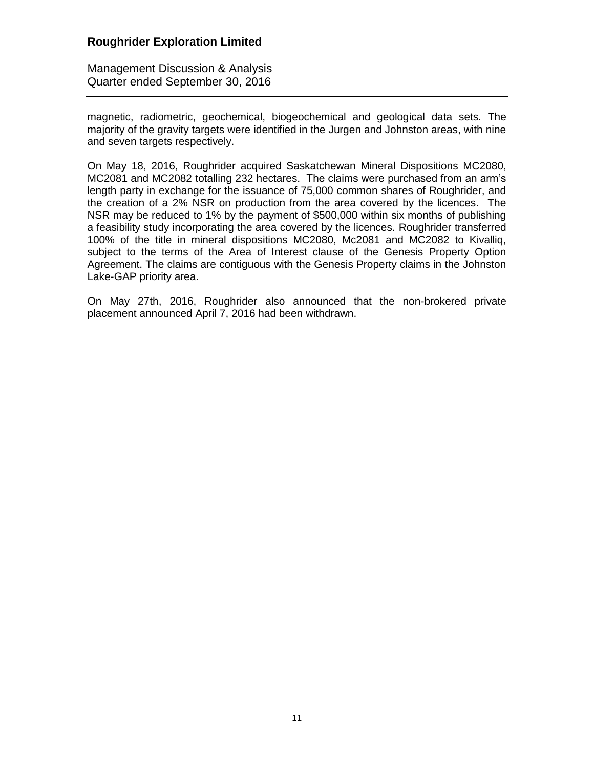Management Discussion & Analysis Quarter ended September 30, 2016

magnetic, radiometric, geochemical, biogeochemical and geological data sets. The majority of the gravity targets were identified in the Jurgen and Johnston areas, with nine and seven targets respectively.

On May 18, 2016, Roughrider acquired Saskatchewan Mineral Dispositions MC2080, MC2081 and MC2082 totalling 232 hectares. The claims were purchased from an arm's length party in exchange for the issuance of 75,000 common shares of Roughrider, and the creation of a 2% NSR on production from the area covered by the licences. The NSR may be reduced to 1% by the payment of \$500,000 within six months of publishing a feasibility study incorporating the area covered by the licences. Roughrider transferred 100% of the title in mineral dispositions MC2080, Mc2081 and MC2082 to Kivalliq, subject to the terms of the Area of Interest clause of the Genesis Property Option Agreement. The claims are contiguous with the Genesis Property claims in the Johnston Lake-GAP priority area.

On May 27th, 2016, Roughrider also announced that the non-brokered private placement announced April 7, 2016 had been withdrawn.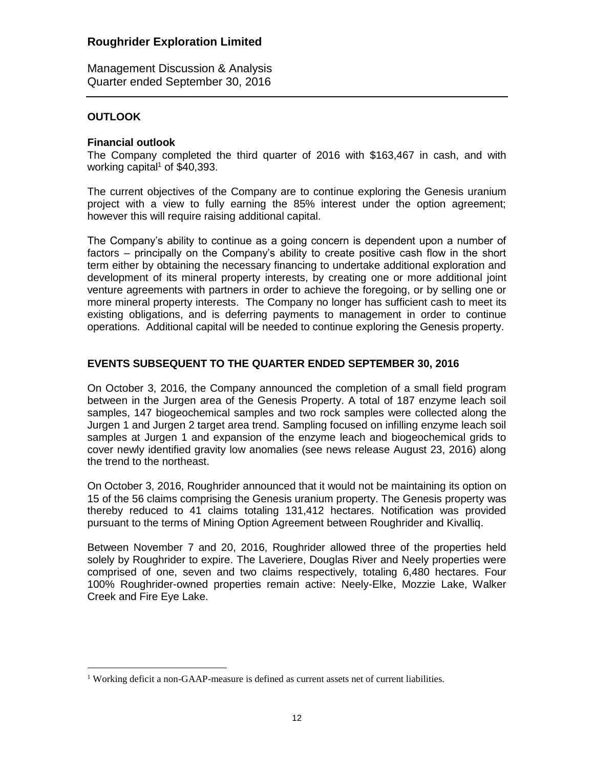Management Discussion & Analysis Quarter ended September 30, 2016

### **OUTLOOK**

 $\overline{a}$ 

### **Financial outlook**

The Company completed the third quarter of 2016 with \$163,467 in cash, and with working capital<sup>1</sup> of  $$40,393$ .

The current objectives of the Company are to continue exploring the Genesis uranium project with a view to fully earning the 85% interest under the option agreement; however this will require raising additional capital.

The Company's ability to continue as a going concern is dependent upon a number of factors – principally on the Company's ability to create positive cash flow in the short term either by obtaining the necessary financing to undertake additional exploration and development of its mineral property interests, by creating one or more additional joint venture agreements with partners in order to achieve the foregoing, or by selling one or more mineral property interests. The Company no longer has sufficient cash to meet its existing obligations, and is deferring payments to management in order to continue operations. Additional capital will be needed to continue exploring the Genesis property.

## **EVENTS SUBSEQUENT TO THE QUARTER ENDED SEPTEMBER 30, 2016**

On October 3, 2016, the Company announced the completion of a small field program between in the Jurgen area of the Genesis Property. A total of 187 enzyme leach soil samples, 147 biogeochemical samples and two rock samples were collected along the Jurgen 1 and Jurgen 2 target area trend. Sampling focused on infilling enzyme leach soil samples at Jurgen 1 and expansion of the enzyme leach and biogeochemical grids to cover newly identified gravity low anomalies (see news release August 23, 2016) along the trend to the northeast.

On October 3, 2016, Roughrider announced that it would not be maintaining its option on 15 of the 56 claims comprising the Genesis uranium property. The Genesis property was thereby reduced to 41 claims totaling 131,412 hectares. Notification was provided pursuant to the terms of Mining Option Agreement between Roughrider and Kivalliq.

Between November 7 and 20, 2016, Roughrider allowed three of the properties held solely by Roughrider to expire. The Laveriere, Douglas River and Neely properties were comprised of one, seven and two claims respectively, totaling 6,480 hectares. Four 100% Roughrider-owned properties remain active: Neely-Elke, Mozzie Lake, Walker Creek and Fire Eye Lake.

<sup>&</sup>lt;sup>1</sup> Working deficit a non-GAAP-measure is defined as current assets net of current liabilities.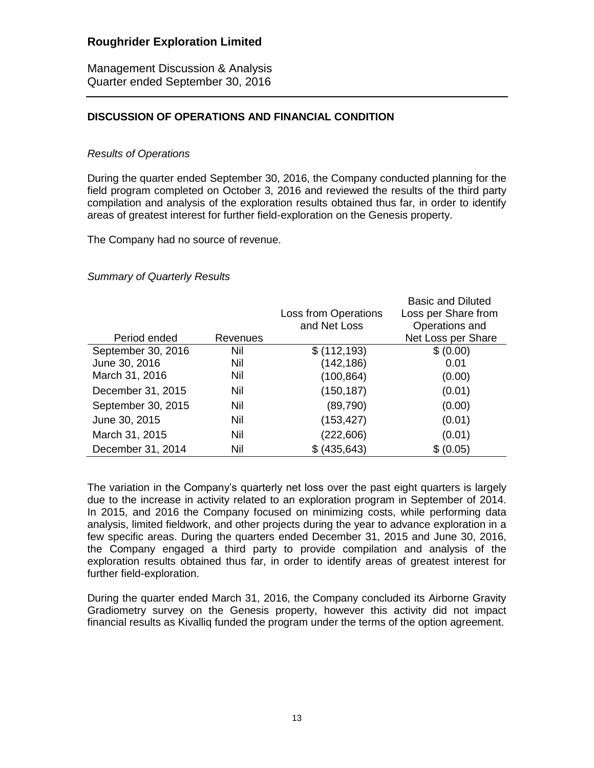Management Discussion & Analysis Quarter ended September 30, 2016

### **DISCUSSION OF OPERATIONS AND FINANCIAL CONDITION**

### *Results of Operations*

During the quarter ended September 30, 2016, the Company conducted planning for the field program completed on October 3, 2016 and reviewed the results of the third party compilation and analysis of the exploration results obtained thus far, in order to identify areas of greatest interest for further field-exploration on the Genesis property.

The Company had no source of revenue.

### *Summary of Quarterly Results*

|                    |          |                             | <b>Basic and Diluted</b> |
|--------------------|----------|-----------------------------|--------------------------|
|                    |          | <b>Loss from Operations</b> | Loss per Share from      |
|                    |          | and Net Loss                | Operations and           |
| Period ended       | Revenues |                             | Net Loss per Share       |
| September 30, 2016 | Nil      | \$(112, 193)                | \$ (0.00)                |
| June 30, 2016      | Nil      | (142, 186)                  | 0.01                     |
| March 31, 2016     | Nil      | (100, 864)                  | (0.00)                   |
| December 31, 2015  | Nil      | (150, 187)                  | (0.01)                   |
| September 30, 2015 | Nil      | (89,790)                    | (0.00)                   |
| June 30, 2015      | Nil      | (153, 427)                  | (0.01)                   |
| March 31, 2015     | Nil      | (222, 606)                  | (0.01)                   |
| December 31, 2014  | Nil      | \$ (435, 643)               | \$ (0.05)                |

The variation in the Company's quarterly net loss over the past eight quarters is largely due to the increase in activity related to an exploration program in September of 2014. In 2015, and 2016 the Company focused on minimizing costs, while performing data analysis, limited fieldwork, and other projects during the year to advance exploration in a few specific areas. During the quarters ended December 31, 2015 and June 30, 2016, the Company engaged a third party to provide compilation and analysis of the exploration results obtained thus far, in order to identify areas of greatest interest for further field-exploration.

During the quarter ended March 31, 2016, the Company concluded its Airborne Gravity Gradiometry survey on the Genesis property, however this activity did not impact financial results as Kivalliq funded the program under the terms of the option agreement.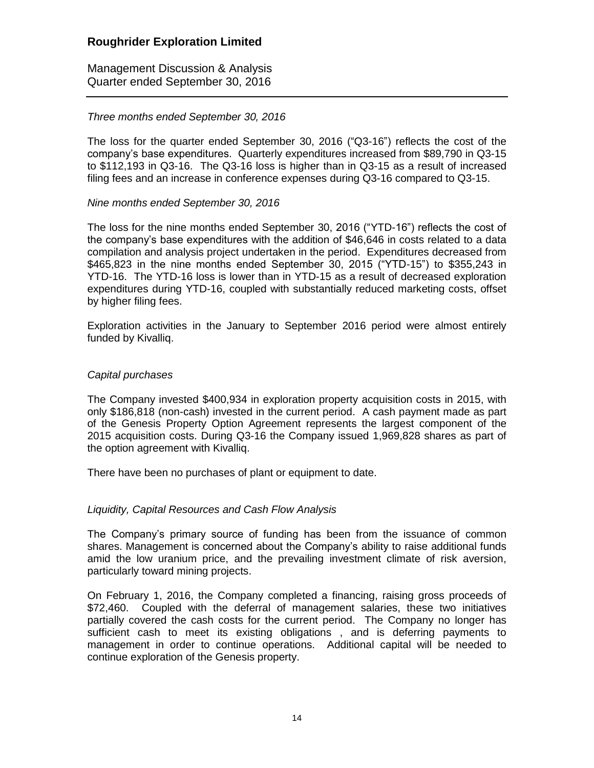Management Discussion & Analysis Quarter ended September 30, 2016

### *Three months ended September 30, 2016*

The loss for the quarter ended September 30, 2016 ("Q3-16") reflects the cost of the company's base expenditures. Quarterly expenditures increased from \$89,790 in Q3-15 to \$112,193 in Q3-16. The Q3-16 loss is higher than in Q3-15 as a result of increased filing fees and an increase in conference expenses during Q3-16 compared to Q3-15.

### *Nine months ended September 30, 2016*

The loss for the nine months ended September 30, 2016 ("YTD-16") reflects the cost of the company's base expenditures with the addition of \$46,646 in costs related to a data compilation and analysis project undertaken in the period. Expenditures decreased from \$465,823 in the nine months ended September 30, 2015 ("YTD-15") to \$355,243 in YTD-16. The YTD-16 loss is lower than in YTD-15 as a result of decreased exploration expenditures during YTD-16, coupled with substantially reduced marketing costs, offset by higher filing fees.

Exploration activities in the January to September 2016 period were almost entirely funded by Kivalliq.

### *Capital purchases*

The Company invested \$400,934 in exploration property acquisition costs in 2015, with only \$186,818 (non-cash) invested in the current period. A cash payment made as part of the Genesis Property Option Agreement represents the largest component of the 2015 acquisition costs. During Q3-16 the Company issued 1,969,828 shares as part of the option agreement with Kivalliq.

There have been no purchases of plant or equipment to date.

### *Liquidity, Capital Resources and Cash Flow Analysis*

The Company's primary source of funding has been from the issuance of common shares. Management is concerned about the Company's ability to raise additional funds amid the low uranium price, and the prevailing investment climate of risk aversion, particularly toward mining projects.

On February 1, 2016, the Company completed a financing, raising gross proceeds of \$72,460. Coupled with the deferral of management salaries, these two initiatives partially covered the cash costs for the current period. The Company no longer has sufficient cash to meet its existing obligations , and is deferring payments to management in order to continue operations. Additional capital will be needed to continue exploration of the Genesis property.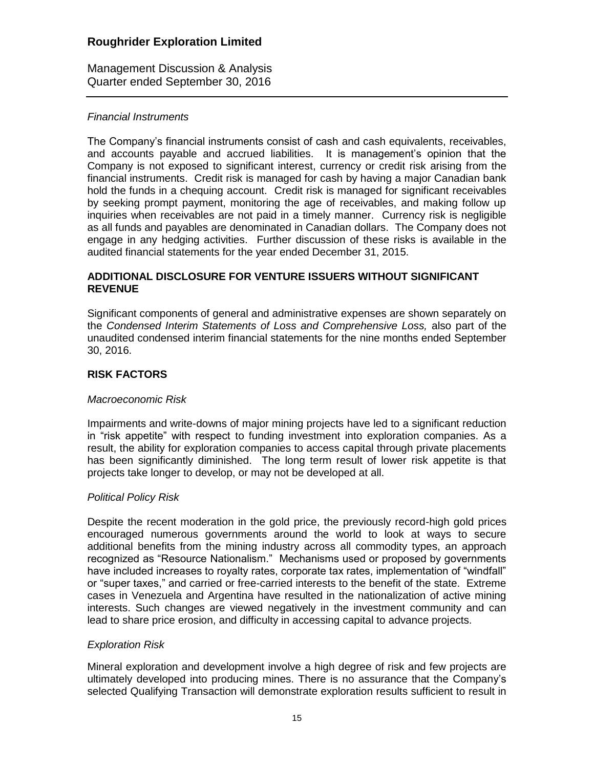Management Discussion & Analysis Quarter ended September 30, 2016

### *Financial Instruments*

The Company's financial instruments consist of cash and cash equivalents, receivables, and accounts payable and accrued liabilities. It is management's opinion that the Company is not exposed to significant interest, currency or credit risk arising from the financial instruments. Credit risk is managed for cash by having a major Canadian bank hold the funds in a chequing account. Credit risk is managed for significant receivables by seeking prompt payment, monitoring the age of receivables, and making follow up inquiries when receivables are not paid in a timely manner. Currency risk is negligible as all funds and payables are denominated in Canadian dollars. The Company does not engage in any hedging activities. Further discussion of these risks is available in the audited financial statements for the year ended December 31, 2015.

### **ADDITIONAL DISCLOSURE FOR VENTURE ISSUERS WITHOUT SIGNIFICANT REVENUE**

Significant components of general and administrative expenses are shown separately on the *Condensed Interim Statements of Loss and Comprehensive Loss,* also part of the unaudited condensed interim financial statements for the nine months ended September 30, 2016.

## **RISK FACTORS**

### *Macroeconomic Risk*

Impairments and write-downs of major mining projects have led to a significant reduction in "risk appetite" with respect to funding investment into exploration companies. As a result, the ability for exploration companies to access capital through private placements has been significantly diminished. The long term result of lower risk appetite is that projects take longer to develop, or may not be developed at all.

### *Political Policy Risk*

Despite the recent moderation in the gold price, the previously record-high gold prices encouraged numerous governments around the world to look at ways to secure additional benefits from the mining industry across all commodity types, an approach recognized as "Resource Nationalism." Mechanisms used or proposed by governments have included increases to royalty rates, corporate tax rates, implementation of "windfall" or "super taxes," and carried or free-carried interests to the benefit of the state. Extreme cases in Venezuela and Argentina have resulted in the nationalization of active mining interests. Such changes are viewed negatively in the investment community and can lead to share price erosion, and difficulty in accessing capital to advance projects.

### *Exploration Risk*

Mineral exploration and development involve a high degree of risk and few projects are ultimately developed into producing mines. There is no assurance that the Company's selected Qualifying Transaction will demonstrate exploration results sufficient to result in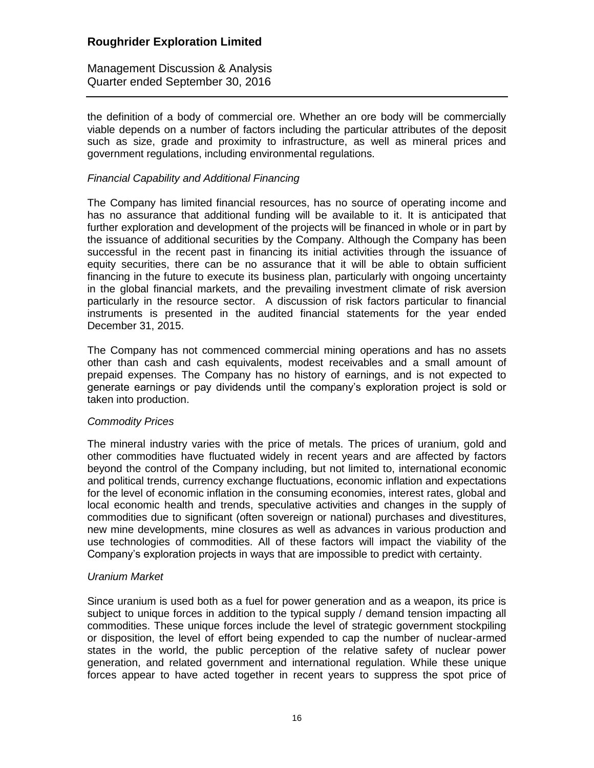Management Discussion & Analysis Quarter ended September 30, 2016

the definition of a body of commercial ore. Whether an ore body will be commercially viable depends on a number of factors including the particular attributes of the deposit such as size, grade and proximity to infrastructure, as well as mineral prices and government regulations, including environmental regulations.

### *Financial Capability and Additional Financing*

The Company has limited financial resources, has no source of operating income and has no assurance that additional funding will be available to it. It is anticipated that further exploration and development of the projects will be financed in whole or in part by the issuance of additional securities by the Company. Although the Company has been successful in the recent past in financing its initial activities through the issuance of equity securities, there can be no assurance that it will be able to obtain sufficient financing in the future to execute its business plan, particularly with ongoing uncertainty in the global financial markets, and the prevailing investment climate of risk aversion particularly in the resource sector. A discussion of risk factors particular to financial instruments is presented in the audited financial statements for the year ended December 31, 2015.

The Company has not commenced commercial mining operations and has no assets other than cash and cash equivalents, modest receivables and a small amount of prepaid expenses. The Company has no history of earnings, and is not expected to generate earnings or pay dividends until the company's exploration project is sold or taken into production.

### *Commodity Prices*

The mineral industry varies with the price of metals. The prices of uranium, gold and other commodities have fluctuated widely in recent years and are affected by factors beyond the control of the Company including, but not limited to, international economic and political trends, currency exchange fluctuations, economic inflation and expectations for the level of economic inflation in the consuming economies, interest rates, global and local economic health and trends, speculative activities and changes in the supply of commodities due to significant (often sovereign or national) purchases and divestitures, new mine developments, mine closures as well as advances in various production and use technologies of commodities. All of these factors will impact the viability of the Company's exploration projects in ways that are impossible to predict with certainty.

### *Uranium Market*

Since uranium is used both as a fuel for power generation and as a weapon, its price is subject to unique forces in addition to the typical supply / demand tension impacting all commodities. These unique forces include the level of strategic government stockpiling or disposition, the level of effort being expended to cap the number of nuclear-armed states in the world, the public perception of the relative safety of nuclear power generation, and related government and international regulation. While these unique forces appear to have acted together in recent years to suppress the spot price of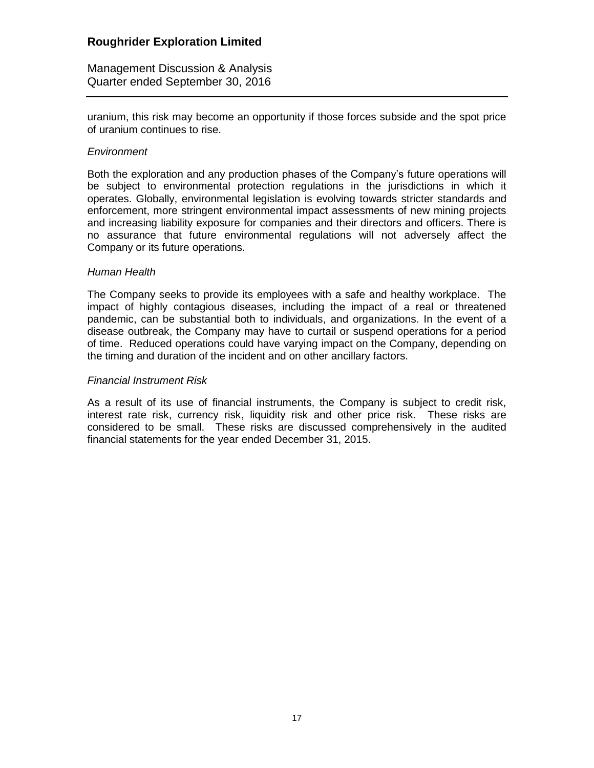Management Discussion & Analysis Quarter ended September 30, 2016

uranium, this risk may become an opportunity if those forces subside and the spot price of uranium continues to rise.

#### *Environment*

Both the exploration and any production phases of the Company's future operations will be subject to environmental protection regulations in the jurisdictions in which it operates. Globally, environmental legislation is evolving towards stricter standards and enforcement, more stringent environmental impact assessments of new mining projects and increasing liability exposure for companies and their directors and officers. There is no assurance that future environmental regulations will not adversely affect the Company or its future operations.

#### *Human Health*

The Company seeks to provide its employees with a safe and healthy workplace. The impact of highly contagious diseases, including the impact of a real or threatened pandemic, can be substantial both to individuals, and organizations. In the event of a disease outbreak, the Company may have to curtail or suspend operations for a period of time. Reduced operations could have varying impact on the Company, depending on the timing and duration of the incident and on other ancillary factors.

#### *Financial Instrument Risk*

As a result of its use of financial instruments, the Company is subject to credit risk, interest rate risk, currency risk, liquidity risk and other price risk. These risks are considered to be small. These risks are discussed comprehensively in the audited financial statements for the year ended December 31, 2015.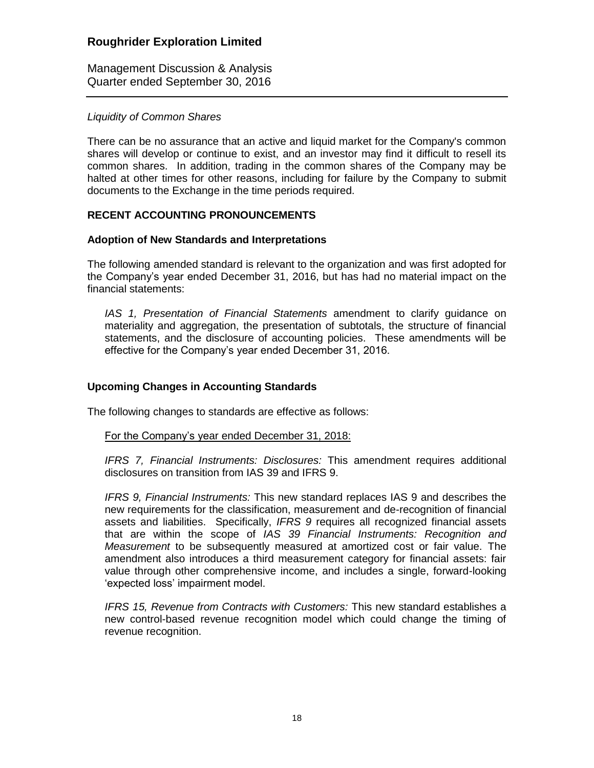Management Discussion & Analysis Quarter ended September 30, 2016

### *Liquidity of Common Shares*

There can be no assurance that an active and liquid market for the Company's common shares will develop or continue to exist, and an investor may find it difficult to resell its common shares. In addition, trading in the common shares of the Company may be halted at other times for other reasons, including for failure by the Company to submit documents to the Exchange in the time periods required.

### **RECENT ACCOUNTING PRONOUNCEMENTS**

### **Adoption of New Standards and Interpretations**

The following amended standard is relevant to the organization and was first adopted for the Company's year ended December 31, 2016, but has had no material impact on the financial statements:

*IAS 1, Presentation of Financial Statements* amendment to clarify guidance on materiality and aggregation, the presentation of subtotals, the structure of financial statements, and the disclosure of accounting policies. These amendments will be effective for the Company's year ended December 31, 2016.

### **Upcoming Changes in Accounting Standards**

The following changes to standards are effective as follows:

### For the Company's year ended December 31, 2018:

*IFRS 7, Financial Instruments: Disclosures:* This amendment requires additional disclosures on transition from IAS 39 and IFRS 9.

*IFRS 9, Financial Instruments:* This new standard replaces IAS 9 and describes the new requirements for the classification, measurement and de-recognition of financial assets and liabilities. Specifically, *IFRS 9* requires all recognized financial assets that are within the scope of *IAS 39 Financial Instruments: Recognition and Measurement* to be subsequently measured at amortized cost or fair value. The amendment also introduces a third measurement category for financial assets: fair value through other comprehensive income, and includes a single, forward-looking 'expected loss' impairment model.

*IFRS 15, Revenue from Contracts with Customers:* This new standard establishes a new control-based revenue recognition model which could change the timing of revenue recognition.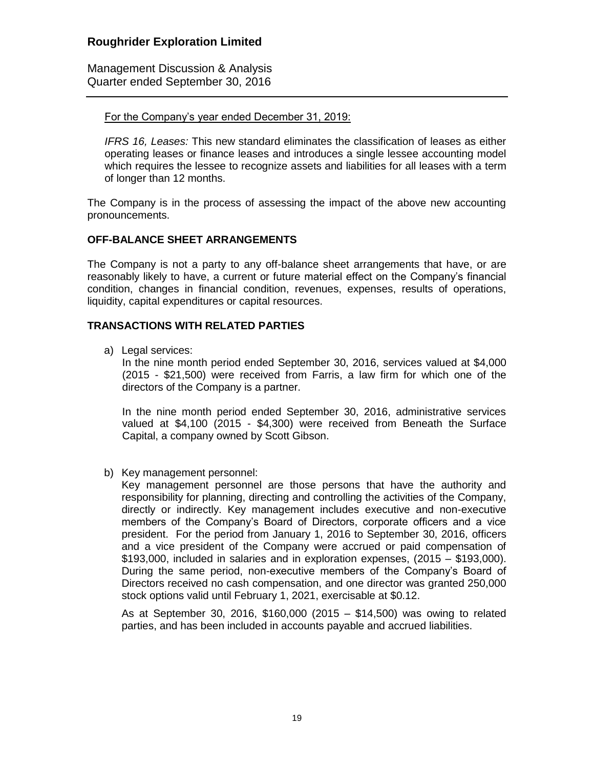Management Discussion & Analysis Quarter ended September 30, 2016

#### For the Company's year ended December 31, 2019:

*IFRS 16, Leases:* This new standard eliminates the classification of leases as either operating leases or finance leases and introduces a single lessee accounting model which requires the lessee to recognize assets and liabilities for all leases with a term of longer than 12 months.

The Company is in the process of assessing the impact of the above new accounting pronouncements.

### **OFF-BALANCE SHEET ARRANGEMENTS**

The Company is not a party to any off-balance sheet arrangements that have, or are reasonably likely to have, a current or future material effect on the Company's financial condition, changes in financial condition, revenues, expenses, results of operations, liquidity, capital expenditures or capital resources.

### **TRANSACTIONS WITH RELATED PARTIES**

a) Legal services:

In the nine month period ended September 30, 2016, services valued at \$4,000 (2015 - \$21,500) were received from Farris, a law firm for which one of the directors of the Company is a partner.

In the nine month period ended September 30, 2016, administrative services valued at \$4,100 (2015 - \$4,300) were received from Beneath the Surface Capital, a company owned by Scott Gibson.

b) Key management personnel:

Key management personnel are those persons that have the authority and responsibility for planning, directing and controlling the activities of the Company, directly or indirectly. Key management includes executive and non-executive members of the Company's Board of Directors, corporate officers and a vice president. For the period from January 1, 2016 to September 30, 2016, officers and a vice president of the Company were accrued or paid compensation of \$193,000, included in salaries and in exploration expenses, (2015 – \$193,000). During the same period, non-executive members of the Company's Board of Directors received no cash compensation, and one director was granted 250,000 stock options valid until February 1, 2021, exercisable at \$0.12.

As at September 30, 2016, \$160,000 (2015 – \$14,500) was owing to related parties, and has been included in accounts payable and accrued liabilities.